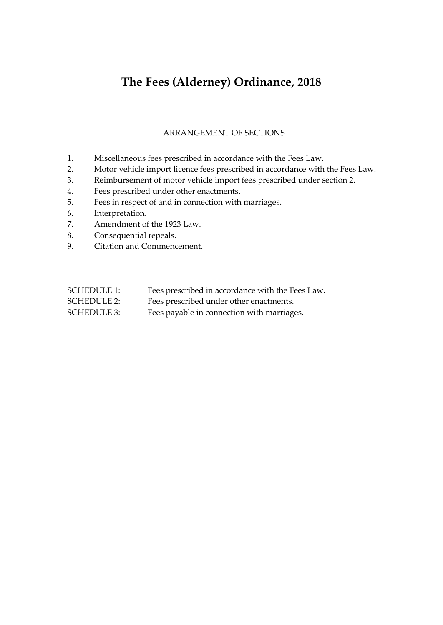# **The Fees (Alderney) Ordinance, 2018**

#### ARRANGEMENT OF SECTIONS

- 1. Miscellaneous fees prescribed in accordance with the Fees Law.
- 2. Motor vehicle import licence fees prescribed in accordance with the Fees Law.
- 3. Reimbursement of motor vehicle import fees prescribed under section 2.
- 4. Fees prescribed under other enactments.
- 5. Fees in respect of and in connection with marriages.
- 6. Interpretation.
- 7. Amendment of the 1923 Law.
- 8. Consequential repeals.
- 9. Citation and Commencement.

| <b>SCHEDULE 1:</b> | Fees prescribed in accordance with the Fees Law. |
|--------------------|--------------------------------------------------|
| <b>SCHEDULE 2:</b> | Fees prescribed under other enactments.          |
| <b>SCHEDULE 3:</b> | Fees payable in connection with marriages.       |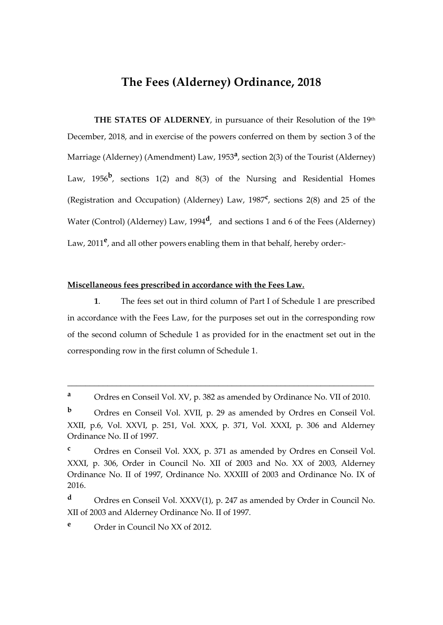# **The Fees (Alderney) Ordinance, 2018**

**THE STATES OF ALDERNEY, in pursuance of their Resolution of the 19th** December, 2018, and in exercise of the powers conferred on them by section 3 of the Marriage (Alderney) (Amendment) Law, 1953**<sup>a</sup>** , section 2(3) of the Tourist (Alderney) Law, 1956<sup>b</sup>, sections 1(2) and 8(3) of the Nursing and Residential Homes (Registration and Occupation) (Alderney) Law, 1987**<sup>c</sup>** , sections 2(8) and 25 of the Water (Control) (Alderney) Law, 1994<sup>d</sup>, and sections 1 and 6 of the Fees (Alderney) Law, 2011<sup>e</sup>, and all other powers enabling them in that behalf, hereby order:-

#### **Miscellaneous fees prescribed in accordance with the Fees Law.**

**1**. The fees set out in third column of Part I of Schedule 1 are prescribed in accordance with the Fees Law, for the purposes set out in the corresponding row of the second column of Schedule 1 as provided for in the enactment set out in the corresponding row in the first column of Schedule 1.

\_\_\_\_\_\_\_\_\_\_\_\_\_\_\_\_\_\_\_\_\_\_\_\_\_\_\_\_\_\_\_\_\_\_\_\_\_\_\_\_\_\_\_\_\_\_\_\_\_\_\_\_\_\_\_\_\_\_\_\_\_\_\_\_\_\_\_\_\_

**<sup>e</sup>** Order in Council No XX of 2012.

**<sup>a</sup>** Ordres en Conseil Vol. XV, p. 382 as amended by Ordinance No. VII of 2010.

**b** Ordres en Conseil Vol. XVII, p. 29 as amended by Ordres en Conseil Vol. XXII, p.6, Vol. XXVI, p. 251, Vol. XXX, p. 371, Vol. XXXI, p. 306 and Alderney Ordinance No. II of 1997.

**<sup>c</sup>** Ordres en Conseil Vol. XXX, p. 371 as amended by Ordres en Conseil Vol. XXXI, p. 306, Order in Council No. XII of 2003 and No. XX of 2003, Alderney Ordinance No. II of 1997, Ordinance No. XXXIII of 2003 and Ordinance No. IX of 2016.

**<sup>d</sup>** Ordres en Conseil Vol. XXXV(1), p. 247 as amended by Order in Council No. XII of 2003 and Alderney Ordinance No. II of 1997.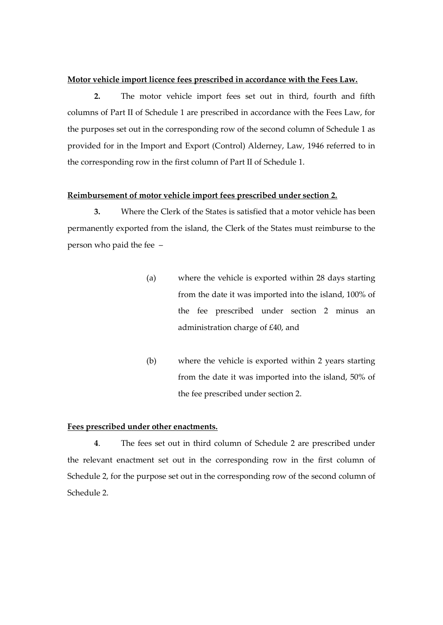#### **Motor vehicle import licence fees prescribed in accordance with the Fees Law.**

**2.** The motor vehicle import fees set out in third, fourth and fifth columns of Part II of Schedule 1 are prescribed in accordance with the Fees Law, for the purposes set out in the corresponding row of the second column of Schedule 1 as provided for in the Import and Export (Control) Alderney, Law, 1946 referred to in the corresponding row in the first column of Part II of Schedule 1.

#### **Reimbursement of motor vehicle import fees prescribed under section 2.**

**3.** Where the Clerk of the States is satisfied that a motor vehicle has been permanently exported from the island, the Clerk of the States must reimburse to the person who paid the fee –

- (a) where the vehicle is exported within 28 days starting from the date it was imported into the island, 100% of the fee prescribed under section 2 minus an administration charge of £40, and
- (b) where the vehicle is exported within 2 years starting from the date it was imported into the island, 50% of the fee prescribed under section 2.

#### **Fees prescribed under other enactments.**

**4**. The fees set out in third column of Schedule 2 are prescribed under the relevant enactment set out in the corresponding row in the first column of Schedule 2, for the purpose set out in the corresponding row of the second column of Schedule 2.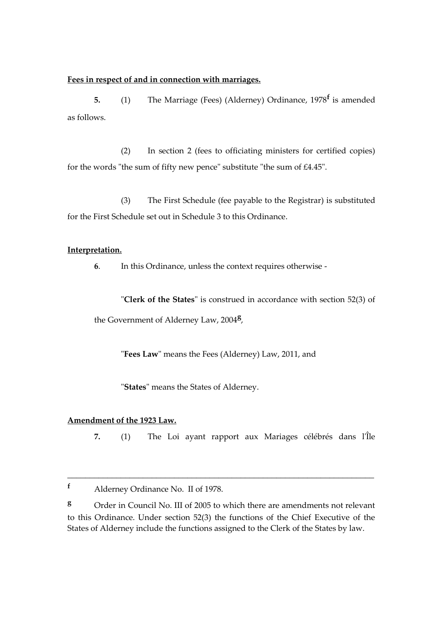#### **Fees in respect of and in connection with marriages.**

**5.** (1) The Marriage (Fees) (Alderney) Ordinance, 1978**<sup>f</sup>** is amended as follows.

(2) In section 2 (fees to officiating ministers for certified copies) for the words "the sum of fifty new pence" substitute "the sum of £4.45".

(3) The First Schedule (fee payable to the Registrar) is substituted for the First Schedule set out in Schedule 3 to this Ordinance.

#### **Interpretation.**

**6**. In this Ordinance, unless the context requires otherwise -

"**Clerk of the States**" is construed in accordance with section 52(3) of the Government of Alderney Law, 2004**<sup>g</sup>** ,

"**Fees Law**" means the Fees (Alderney) Law, 2011, and

"**States**" means the States of Alderney.

# **Amendment of the 1923 Law.**

**7.** (1) The Loi ayant rapport aux Mariages célébrés dans l'Île

**<sup>g</sup>** Order in Council No. III of 2005 to which there are amendments not relevant to this Ordinance. Under section 52(3) the functions of the Chief Executive of the States of Alderney include the functions assigned to the Clerk of the States by law.

**<sup>f</sup>** Alderney Ordinance No. II of 1978.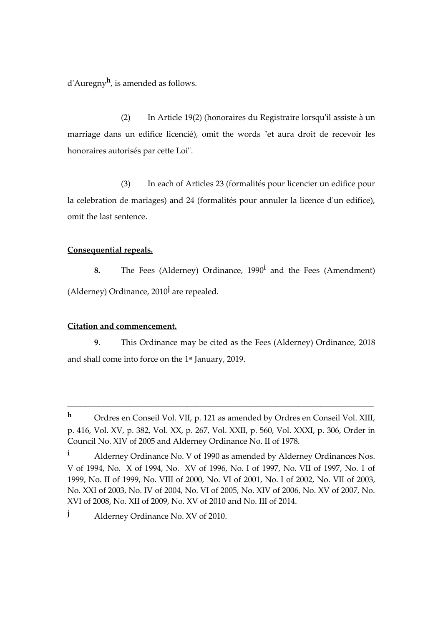d'Auregny**<sup>h</sup>** , is amended as follows.

(2) In Article 19(2) (honoraires du Registraire lorsqu'il assiste à un marriage dans un edifice licencié), omit the words "et aura droit de recevoir les honoraires autorisés par cette Loi".

(3) In each of Articles 23 (formalités pour licencier un edifice pour la celebration de mariages) and 24 (formalités pour annuler la licence d'un edifice), omit the last sentence.

#### **Consequential repeals.**

**8.** The Fees (Alderney) Ordinance, 1990**<sup>i</sup>** and the Fees (Amendment) (Alderney) Ordinance, 2010**<sup>j</sup>** are repealed.

#### **Citation and commencement.**

**9**. This Ordinance may be cited as the Fees (Alderney) Ordinance, 2018 and shall come into force on the 1st January, 2019.

**<sup>h</sup>** Ordres en Conseil Vol. VII, p. 121 as amended by Ordres en Conseil Vol. XIII, p. 416, Vol. XV, p. 382, Vol. XX, p. 267, Vol. XXII, p. 560, Vol. XXXI, p. 306, Order in Council No. XIV of 2005 and Alderney Ordinance No. II of 1978.

**<sup>i</sup>** Alderney Ordinance No. V of 1990 as amended by Alderney Ordinances Nos. V of 1994, No. X of 1994, No. XV of 1996, No. I of 1997, No. VII of 1997, No. 1 of 1999, No. II of 1999, No. VIII of 2000, No. VI of 2001, No. I of 2002, No. VII of 2003, No. XXI of 2003, No. IV of 2004, No. VI of 2005, No. XIV of 2006, No. XV of 2007, No. XVI of 2008, No. XII of 2009, No. XV of 2010 and No. III of 2014.

**<sup>j</sup>** Alderney Ordinance No. XV of 2010.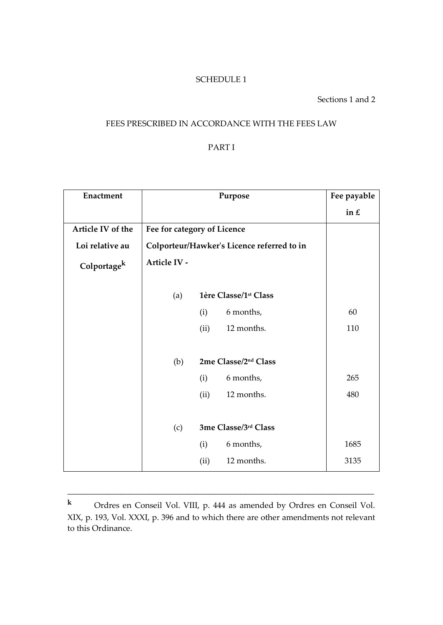## SCHEDULE 1

Sections 1 and 2

# FEES PRESCRIBED IN ACCORDANCE WITH THE FEES LAW

# PART I

| Enactment               |                             |                      | Purpose                                    | Fee payable |
|-------------------------|-----------------------------|----------------------|--------------------------------------------|-------------|
|                         |                             |                      |                                            | in $E$      |
| Article IV of the       | Fee for category of Licence |                      |                                            |             |
| Loi relative au         |                             |                      | Colporteur/Hawker's Licence referred to in |             |
| Colportage <sup>k</sup> | Article IV -                |                      |                                            |             |
|                         | (a)                         |                      | 1ère Classe/1 <sup>st</sup> Class          |             |
|                         |                             | (i)                  | 6 months,                                  | 60          |
|                         |                             | (ii)                 | 12 months.                                 | 110         |
|                         | (b)                         | 2me Classe/2nd Class |                                            |             |
|                         |                             | (i)                  | 6 months,                                  | 265         |
|                         |                             | (ii)                 | 12 months.                                 | 480         |
|                         |                             |                      |                                            |             |
|                         | (c)                         | 3me Classe/3rd Class |                                            |             |
|                         |                             | (i)                  | 6 months,                                  | 1685        |
|                         |                             | (ii)                 | 12 months.                                 | 3135        |

**<sup>k</sup>** Ordres en Conseil Vol. VIII, p. 444 as amended by Ordres en Conseil Vol. XIX, p. 193, Vol. XXXI, p. 396 and to which there are other amendments not relevant to this Ordinance.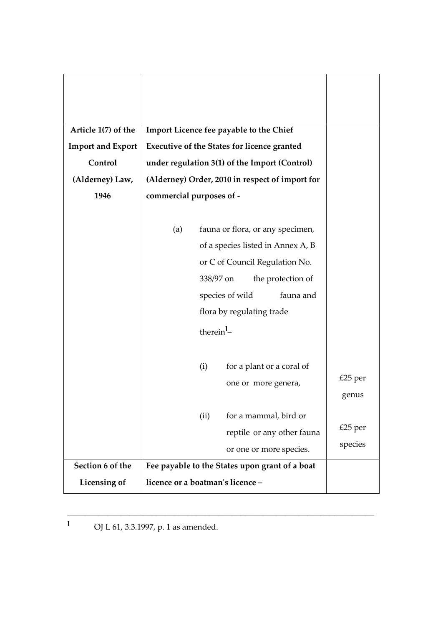| Article 1(7) of the      | Import Licence fee payable to the Chief            |                                         |
|--------------------------|----------------------------------------------------|-----------------------------------------|
| <b>Import and Export</b> | <b>Executive of the States for licence granted</b> |                                         |
| Control                  | under regulation 3(1) of the Import (Control)      |                                         |
| (Alderney) Law,          | (Alderney) Order, 2010 in respect of import for    |                                         |
| 1946                     | commercial purposes of -                           |                                         |
|                          |                                                    |                                         |
|                          | fauna or flora, or any specimen,<br>(a)            |                                         |
|                          | of a species listed in Annex A, B                  |                                         |
|                          | or C of Council Regulation No.                     |                                         |
|                          | 338/97 on                                          | the protection of                       |
|                          | species of wild                                    | fauna and                               |
|                          | flora by regulating trade                          |                                         |
|                          | therein <sup>1</sup> –                             |                                         |
|                          |                                                    |                                         |
|                          | (i)                                                | for a plant or a coral of               |
|                          |                                                    | $£25$ per<br>one or more genera,        |
|                          |                                                    | genus                                   |
|                          | (ii)                                               | for a mammal, bird or                   |
|                          |                                                    | $£25$ per<br>reptile or any other fauna |
|                          |                                                    | species<br>or one or more species.      |
| Section 6 of the         | Fee payable to the States upon grant of a boat     |                                         |
|                          | licence or a boatman's licence -                   |                                         |
| Licensing of             |                                                    |                                         |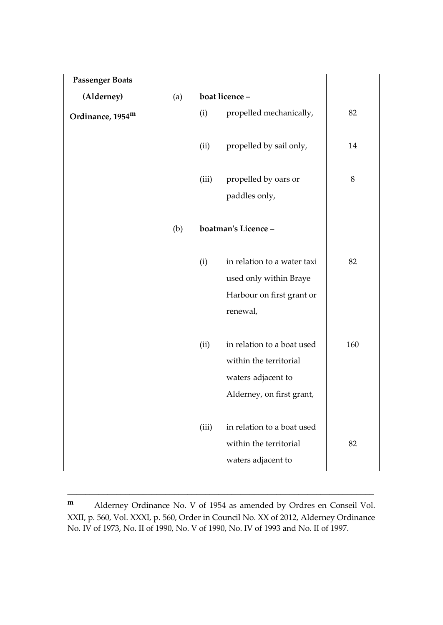| <b>Passenger Boats</b> |     |       |                                                                                                         |     |
|------------------------|-----|-------|---------------------------------------------------------------------------------------------------------|-----|
| (Alderney)             | (a) |       | boat licence -                                                                                          |     |
| Ordinance, 1954m       |     | (i)   | propelled mechanically,                                                                                 | 82  |
|                        |     | (ii)  | propelled by sail only,                                                                                 | 14  |
|                        |     | (iii) | propelled by oars or<br>paddles only,                                                                   | 8   |
|                        | (b) |       | boatman's Licence-                                                                                      |     |
|                        |     | (i)   | in relation to a water taxi<br>used only within Braye<br>Harbour on first grant or<br>renewal,          | 82  |
|                        |     | (ii)  | in relation to a boat used<br>within the territorial<br>waters adjacent to<br>Alderney, on first grant, | 160 |
|                        |     | (iii) | in relation to a boat used<br>within the territorial<br>waters adjacent to                              | 82  |

**<sup>m</sup>** Alderney Ordinance No. V of 1954 as amended by Ordres en Conseil Vol. XXII, p. 560, Vol. XXXI, p. 560, Order in Council No. XX of 2012, Alderney Ordinance No. IV of 1973, No. II of 1990, No. V of 1990, No. IV of 1993 and No. II of 1997.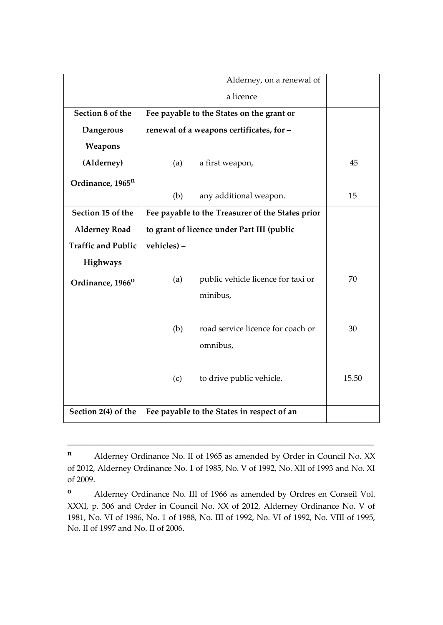|                              | Alderney, on a renewal of                  |                                                  |       |  |  |  |
|------------------------------|--------------------------------------------|--------------------------------------------------|-------|--|--|--|
|                              |                                            | a licence                                        |       |  |  |  |
| Section 8 of the             |                                            | Fee payable to the States on the grant or        |       |  |  |  |
| Dangerous                    |                                            | renewal of a weapons certificates, for-          |       |  |  |  |
| Weapons                      |                                            |                                                  |       |  |  |  |
| (Alderney)                   | (a)                                        | a first weapon,                                  | 45    |  |  |  |
| Ordinance, 1965 <sup>n</sup> |                                            |                                                  |       |  |  |  |
|                              | (b)                                        | any additional weapon.                           | 15    |  |  |  |
| Section 15 of the            |                                            | Fee payable to the Treasurer of the States prior |       |  |  |  |
| <b>Alderney Road</b>         | to grant of licence under Part III (public |                                                  |       |  |  |  |
| <b>Traffic and Public</b>    | vehicles) -                                |                                                  |       |  |  |  |
| Highways                     |                                            |                                                  |       |  |  |  |
| Ordinance, 1966 <sup>0</sup> | (a)                                        | public vehicle licence for taxi or               | 70    |  |  |  |
|                              |                                            | minibus,                                         |       |  |  |  |
|                              |                                            |                                                  |       |  |  |  |
|                              | (b)                                        | road service licence for coach or                | 30    |  |  |  |
|                              |                                            | omnibus,                                         |       |  |  |  |
|                              |                                            |                                                  |       |  |  |  |
|                              | (c)                                        | to drive public vehicle.                         | 15.50 |  |  |  |
|                              |                                            |                                                  |       |  |  |  |
| Section 2(4) of the          |                                            | Fee payable to the States in respect of an       |       |  |  |  |

**<sup>n</sup>** Alderney Ordinance No. II of 1965 as amended by Order in Council No. XX of 2012, Alderney Ordinance No. 1 of 1985, No. V of 1992, No. XII of 1993 and No. XI of 2009.

**<sup>o</sup>** Alderney Ordinance No. III of 1966 as amended by Ordres en Conseil Vol. XXXI, p. 306 and Order in Council No. XX of 2012, Alderney Ordinance No. V of 1981, No. VI of 1986, No. 1 of 1988, No. III of 1992, No. VI of 1992, No. VIII of 1995, No. II of 1997 and No. II of 2006.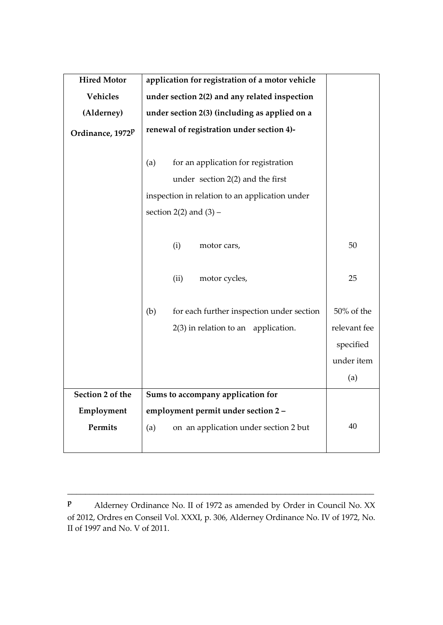| <b>Hired Motor</b> | application for registration of a motor vehicle                                                                                                                  |                   |
|--------------------|------------------------------------------------------------------------------------------------------------------------------------------------------------------|-------------------|
| <b>Vehicles</b>    | under section 2(2) and any related inspection                                                                                                                    |                   |
| (Alderney)         | under section 2(3) (including as applied on a                                                                                                                    |                   |
| Ordinance, 1972P   | renewal of registration under section 4)-                                                                                                                        |                   |
|                    | (a)<br>for an application for registration<br>under section $2(2)$ and the first<br>inspection in relation to an application under<br>section $2(2)$ and $(3)$ – |                   |
|                    | (i)<br>motor cars,                                                                                                                                               | 50                |
|                    | (ii)<br>motor cycles,                                                                                                                                            | 25                |
|                    | (b)<br>for each further inspection under section                                                                                                                 | 50% of the        |
|                    | $2(3)$ in relation to an application.                                                                                                                            | relevant fee      |
|                    |                                                                                                                                                                  | specified         |
|                    |                                                                                                                                                                  | under item<br>(a) |
| Section 2 of the   | Sums to accompany application for                                                                                                                                |                   |
| Employment         | employment permit under section 2 -                                                                                                                              |                   |
| Permits            | on an application under section 2 but<br>(a)                                                                                                                     | 40                |

**<sup>p</sup>** Alderney Ordinance No. II of 1972 as amended by Order in Council No. XX of 2012, Ordres en Conseil Vol. XXXI, p. 306, Alderney Ordinance No. IV of 1972, No. II of 1997 and No. V of 2011.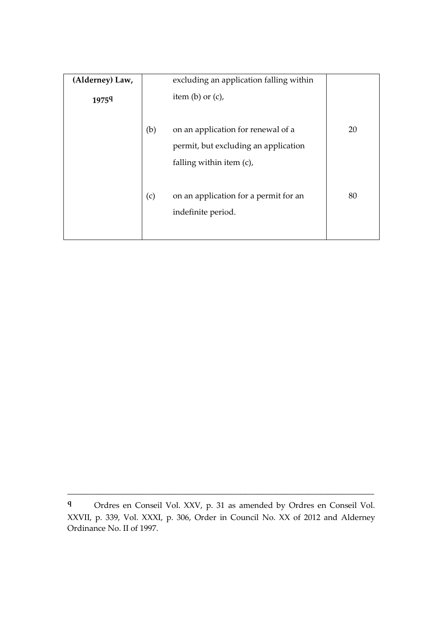| (Alderney) Law,   |     | excluding an application falling within                                                                |    |
|-------------------|-----|--------------------------------------------------------------------------------------------------------|----|
| 1975 <sup>q</sup> |     | item $(b)$ or $(c)$ ,                                                                                  |    |
|                   | (b) | on an application for renewal of a<br>permit, but excluding an application<br>falling within item (c), | 20 |
|                   | (c) | on an application for a permit for an<br>indefinite period.                                            | 80 |

**<sup>q</sup>** Ordres en Conseil Vol. XXV, p. 31 as amended by Ordres en Conseil Vol. XXVII, p. 339, Vol. XXXI, p. 306, Order in Council No. XX of 2012 and Alderney Ordinance No. II of 1997.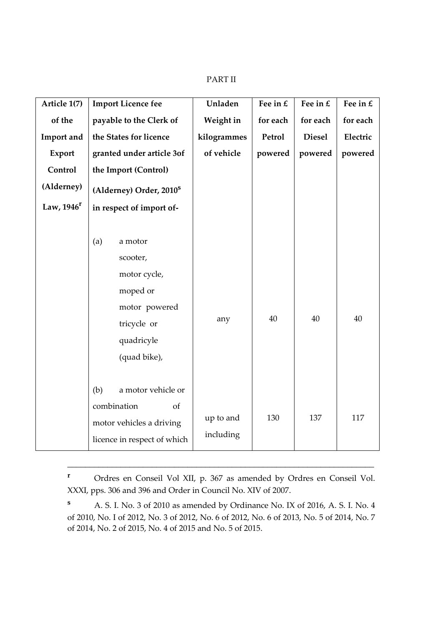#### PART II

| Article 1(7)  |     | <b>Import Licence fee</b>           | Unladen     | Fee in $E$ | Fee in $E$    | Fee in $E$ |
|---------------|-----|-------------------------------------|-------------|------------|---------------|------------|
| of the        |     | payable to the Clerk of             | Weight in   | for each   | for each      | for each   |
| Import and    |     | the States for licence              | kilogrammes | Petrol     | <b>Diesel</b> | Electric   |
| Export        |     | granted under article 3of           | of vehicle  | powered    | powered       | powered    |
| Control       |     | the Import (Control)                |             |            |               |            |
| (Alderney)    |     | (Alderney) Order, 2010 <sup>s</sup> |             |            |               |            |
| Law, $1946^r$ |     | in respect of import of-            |             |            |               |            |
|               |     |                                     |             |            |               |            |
|               | (a) | a motor                             |             |            |               |            |
|               |     | scooter,                            |             |            |               |            |
|               |     | motor cycle,                        |             |            |               |            |
|               |     | moped or                            |             |            |               |            |
|               |     | motor powered                       |             |            |               |            |
|               |     | tricycle or                         | any         | 40         | 40            | 40         |
|               |     | quadricyle                          |             |            |               |            |
|               |     | (quad bike),                        |             |            |               |            |
|               |     |                                     |             |            |               |            |
|               | (b) | a motor vehicle or                  |             |            |               |            |
|               |     | combination<br>of                   |             |            |               |            |
|               |     | motor vehicles a driving            | up to and   | 130        | 137           | 117        |
|               |     | licence in respect of which         | including   |            |               |            |

**<sup>r</sup>** Ordres en Conseil Vol XII, p. 367 as amended by Ordres en Conseil Vol. XXXI, pps. 306 and 396 and Order in Council No. XIV of 2007.

\_\_\_\_\_\_\_\_\_\_\_\_\_\_\_\_\_\_\_\_\_\_\_\_\_\_\_\_\_\_\_\_\_\_\_\_\_\_\_\_\_\_\_\_\_\_\_\_\_\_\_\_\_\_\_\_\_\_\_\_\_\_\_\_\_\_\_\_\_

**<sup>s</sup>** A. S. I. No. 3 of 2010 as amended by Ordinance No. IX of 2016, A. S. I. No. 4 of 2010, No. I of 2012, No. 3 of 2012, No. 6 of 2012, No. 6 of 2013, No. 5 of 2014, No. 7 of 2014, No. 2 of 2015, No. 4 of 2015 and No. 5 of 2015.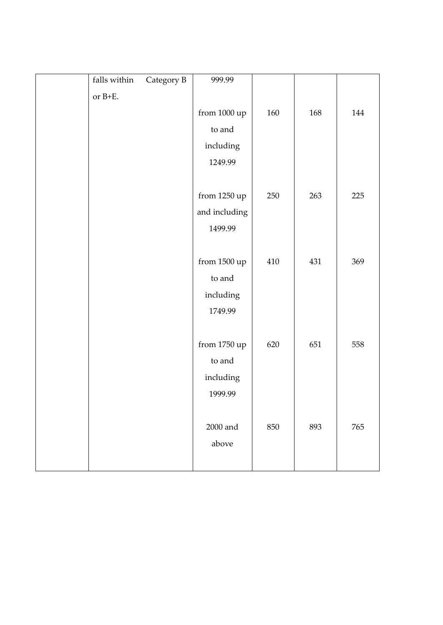| falls within | Category B | 999.99        |         |     |         |
|--------------|------------|---------------|---------|-----|---------|
| or $B+E$ .   |            |               |         |     |         |
|              |            | from 1000 up  | 160     | 168 | 144     |
|              |            | to and        |         |     |         |
|              |            | including     |         |     |         |
|              |            | 1249.99       |         |     |         |
|              |            |               |         |     |         |
|              |            | from 1250 up  | 250     | 263 | 225     |
|              |            | and including |         |     |         |
|              |            | 1499.99       |         |     |         |
|              |            |               |         |     |         |
|              |            | from 1500 up  | 410     | 431 | 369     |
|              |            | to and        |         |     |         |
|              |            | including     |         |     |         |
|              |            | 1749.99       |         |     |         |
|              |            |               |         |     |         |
|              |            | from 1750 up  | 620     | 651 | 558     |
|              |            | to and        |         |     |         |
|              |            | including     |         |     |         |
|              |            | 1999.99       |         |     |         |
|              |            |               |         |     |         |
|              |            | $2000$ and    | $850\,$ | 893 | $765\,$ |
|              |            | above         |         |     |         |
|              |            |               |         |     |         |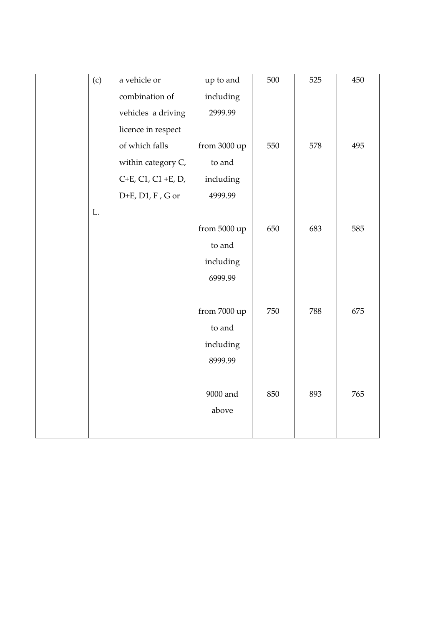| (c) | a vehicle or          | up to and    | 500 | 525 | 450 |
|-----|-----------------------|--------------|-----|-----|-----|
|     | combination of        | including    |     |     |     |
|     | vehicles a driving    | 2999.99      |     |     |     |
|     | licence in respect    |              |     |     |     |
|     | of which falls        | from 3000 up | 550 | 578 | 495 |
|     | within category C,    | to and       |     |     |     |
|     | $C+E$ , C1, C1 +E, D, | including    |     |     |     |
|     | D+E, D1, F, G or      | 4999.99      |     |     |     |
| L.  |                       |              |     |     |     |
|     |                       | from 5000 up | 650 | 683 | 585 |
|     |                       | to and       |     |     |     |
|     |                       | including    |     |     |     |
|     |                       | 6999.99      |     |     |     |
|     |                       |              |     |     |     |
|     |                       | from 7000 up | 750 | 788 | 675 |
|     |                       | to and       |     |     |     |
|     |                       | including    |     |     |     |
|     |                       | 8999.99      |     |     |     |
|     |                       |              |     |     |     |
|     |                       | 9000 and     | 850 | 893 | 765 |
|     |                       | above        |     |     |     |
|     |                       |              |     |     |     |
|     |                       |              |     |     |     |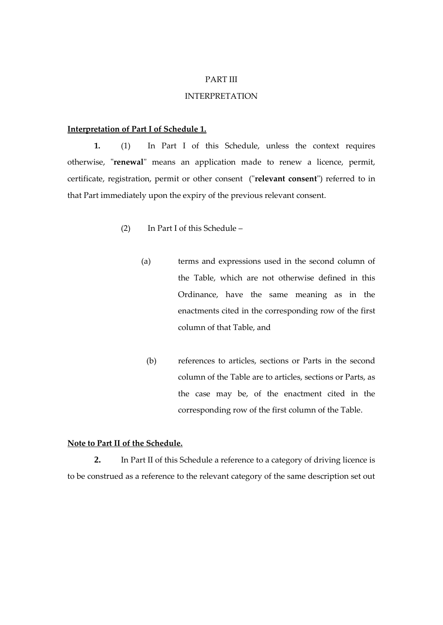#### PART III

#### INTERPRETATION

#### **Interpretation of Part I of Schedule 1.**

**1.** (1) In Part I of this Schedule, unless the context requires otherwise, "**renewal**" means an application made to renew a licence, permit, certificate, registration, permit or other consent ("**relevant consent**") referred to in that Part immediately upon the expiry of the previous relevant consent.

- (2) In Part I of this Schedule
	- (a) terms and expressions used in the second column of the Table, which are not otherwise defined in this Ordinance, have the same meaning as in the enactments cited in the corresponding row of the first column of that Table, and
		- (b) references to articles, sections or Parts in the second column of the Table are to articles, sections or Parts, as the case may be, of the enactment cited in the corresponding row of the first column of the Table.

#### **Note to Part II of the Schedule.**

**2.** In Part II of this Schedule a reference to a category of driving licence is to be construed as a reference to the relevant category of the same description set out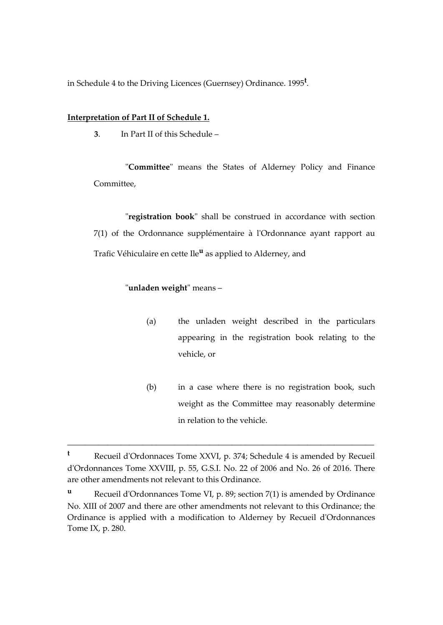in Schedule 4 to the Driving Licences (Guernsey) Ordinance. 1995**<sup>t</sup>** .

#### **Interpretation of Part II of Schedule 1.**

**3**. In Part II of this Schedule –

"**Committee**" means the States of Alderney Policy and Finance Committee,

"**registration book**" shall be construed in accordance with section 7(1) of the Ordonnance supplémentaire à l'Ordonnance ayant rapport au Trafic Véhiculaire en cette Ile**<sup>u</sup>** as applied to Alderney, and

#### "**unladen weight**" means –

- (a) the unladen weight described in the particulars appearing in the registration book relating to the vehicle, or
- (b) in a case where there is no registration book, such weight as the Committee may reasonably determine in relation to the vehicle.

**<sup>t</sup>** Recueil d'Ordonnaces Tome XXVI, p. 374; Schedule 4 is amended by Recueil d'Ordonnances Tome XXVIII, p. 55, G.S.I. No. 22 of 2006 and No. 26 of 2016. There are other amendments not relevant to this Ordinance.

**<sup>u</sup>** Recueil d'Ordonnances Tome VI, p. 89; section 7(1) is amended by Ordinance No. XIII of 2007 and there are other amendments not relevant to this Ordinance; the Ordinance is applied with a modification to Alderney by Recueil d'Ordonnances Tome IX, p. 280.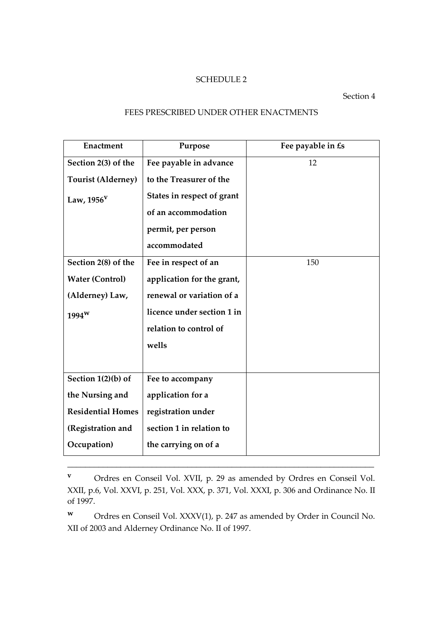## SCHEDULE 2

# Section 4

# FEES PRESCRIBED UNDER OTHER ENACTMENTS

| <b>Enactment</b>          | Purpose                    | Fee payable in £s |
|---------------------------|----------------------------|-------------------|
| Section 2(3) of the       | Fee payable in advance     | 12                |
| <b>Tourist (Alderney)</b> | to the Treasurer of the    |                   |
| Law, $1956^V$             | States in respect of grant |                   |
|                           | of an accommodation        |                   |
|                           | permit, per person         |                   |
|                           | accommodated               |                   |
| Section 2(8) of the       | Fee in respect of an       | 150               |
| <b>Water (Control)</b>    | application for the grant, |                   |
| (Alderney) Law,           | renewal or variation of a  |                   |
| 1994 <sup>w</sup>         | licence under section 1 in |                   |
|                           | relation to control of     |                   |
|                           | wells                      |                   |
|                           |                            |                   |
| Section 1(2)(b) of        | Fee to accompany           |                   |
| the Nursing and           | application for a          |                   |
| <b>Residential Homes</b>  | registration under         |                   |
| (Registration and         | section 1 in relation to   |                   |
| Occupation)               | the carrying on of a       |                   |

**<sup>v</sup>** Ordres en Conseil Vol. XVII, p. 29 as amended by Ordres en Conseil Vol. XXII, p.6, Vol. XXVI, p. 251, Vol. XXX, p. 371, Vol. XXXI, p. 306 and Ordinance No. II of 1997.

**<sup>w</sup>** Ordres en Conseil Vol. XXXV(1), p. 247 as amended by Order in Council No. XII of 2003 and Alderney Ordinance No. II of 1997.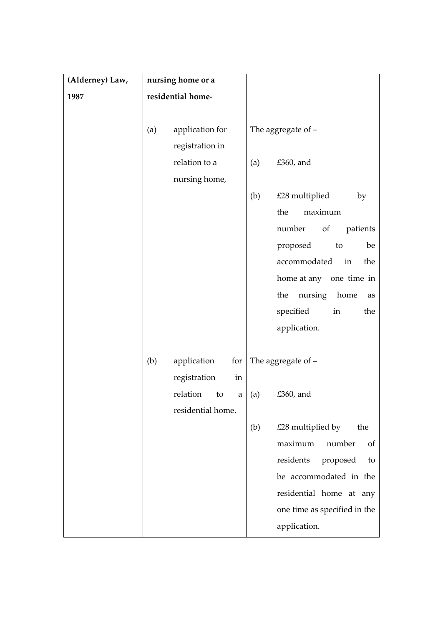| (Alderney) Law, | nursing home or a |                                |     |                              |
|-----------------|-------------------|--------------------------------|-----|------------------------------|
| 1987            | residential home- |                                |     |                              |
|                 |                   |                                |     |                              |
|                 | (a)               | application for                |     | The aggregate of $-$         |
|                 |                   | registration in                |     |                              |
|                 |                   | relation to a                  | (a) | £360, and                    |
|                 |                   | nursing home,                  |     |                              |
|                 |                   |                                | (b) | £28 multiplied<br>by         |
|                 |                   |                                |     | maximum<br>the               |
|                 |                   |                                |     | number<br>patients<br>of     |
|                 |                   |                                |     | proposed<br>to<br>be         |
|                 |                   |                                |     | accommodated<br>in<br>the    |
|                 |                   |                                |     | home at any one time in      |
|                 |                   |                                |     | the<br>nursing<br>home<br>as |
|                 |                   |                                |     | specified<br>in<br>the       |
|                 |                   |                                |     | application.                 |
|                 |                   |                                |     |                              |
|                 | (b)               | application<br>for             |     | The aggregate of $-$         |
|                 |                   | registration<br>in             |     |                              |
|                 |                   | relation<br>to<br>$\mathbf{a}$ | (a) | £360, and                    |
|                 |                   | residential home.              |     |                              |
|                 |                   |                                | (b) | £28 multiplied by<br>the     |
|                 |                   |                                |     | maximum<br>number<br>of      |
|                 |                   |                                |     | residents<br>proposed<br>to  |
|                 |                   |                                |     | be accommodated in the       |
|                 |                   |                                |     | residential home at any      |
|                 |                   |                                |     | one time as specified in the |
|                 |                   |                                |     | application.                 |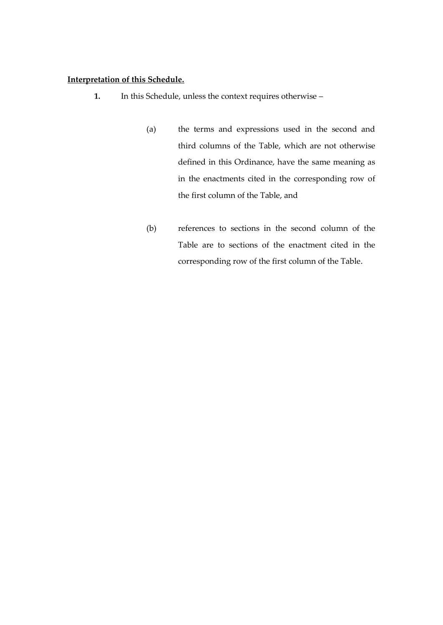#### **Interpretation of this Schedule.**

- **1.** In this Schedule, unless the context requires otherwise
	- (a) the terms and expressions used in the second and third columns of the Table, which are not otherwise defined in this Ordinance, have the same meaning as in the enactments cited in the corresponding row of the first column of the Table, and
	- (b) references to sections in the second column of the Table are to sections of the enactment cited in the corresponding row of the first column of the Table.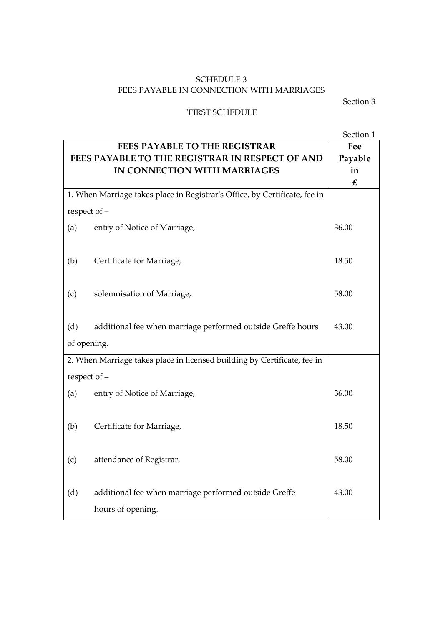# SCHEDULE 3 FEES PAYABLE IN CONNECTION WITH MARRIAGES

Section 3

#### "FIRST SCHEDULE

Section 1 **FEES PAYABLE TO THE REGISTRAR FEES PAYABLE TO THE REGISTRAR IN RESPECT OF AND IN CONNECTION WITH MARRIAGES Fee Payable in £** 1. When Marriage takes place in Registrar's Office, by Certificate, fee in respect of – (a) entry of Notice of Marriage, (b) Certificate for Marriage, (c) solemnisation of Marriage, (d) additional fee when marriage performed outside Greffe hours of opening. 36.00 18.50 58.00 43.00 2. When Marriage takes place in licensed building by Certificate, fee in respect of – (a) entry of Notice of Marriage, (b) Certificate for Marriage, (c) attendance of Registrar, (d) additional fee when marriage performed outside Greffe hours of opening. 36.00 18.50 58.00 43.00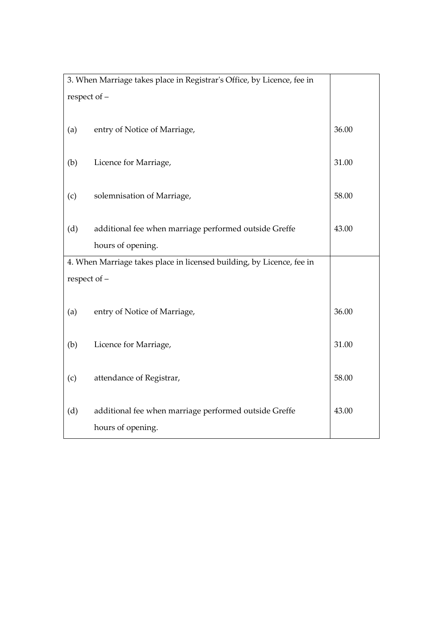| 3. When Marriage takes place in Registrar's Office, by Licence, fee in |                                                       |       |  |  |
|------------------------------------------------------------------------|-------------------------------------------------------|-------|--|--|
| respect of -                                                           |                                                       |       |  |  |
|                                                                        |                                                       |       |  |  |
| (a)                                                                    | entry of Notice of Marriage,                          | 36.00 |  |  |
|                                                                        |                                                       |       |  |  |
| (b)                                                                    | Licence for Marriage,                                 | 31.00 |  |  |
|                                                                        |                                                       |       |  |  |
| (c)                                                                    | solemnisation of Marriage,                            | 58.00 |  |  |
|                                                                        |                                                       |       |  |  |
| (d)                                                                    | additional fee when marriage performed outside Greffe | 43.00 |  |  |
|                                                                        | hours of opening.                                     |       |  |  |
| 4. When Marriage takes place in licensed building, by Licence, fee in  |                                                       |       |  |  |
| respect of -                                                           |                                                       |       |  |  |
|                                                                        |                                                       |       |  |  |
| (a)                                                                    | entry of Notice of Marriage,                          | 36.00 |  |  |
|                                                                        |                                                       |       |  |  |
| (b)                                                                    | Licence for Marriage,                                 | 31.00 |  |  |
|                                                                        |                                                       |       |  |  |
| (c)                                                                    | attendance of Registrar,                              | 58.00 |  |  |
|                                                                        |                                                       |       |  |  |
| (d)                                                                    | additional fee when marriage performed outside Greffe | 43.00 |  |  |
|                                                                        | hours of opening.                                     |       |  |  |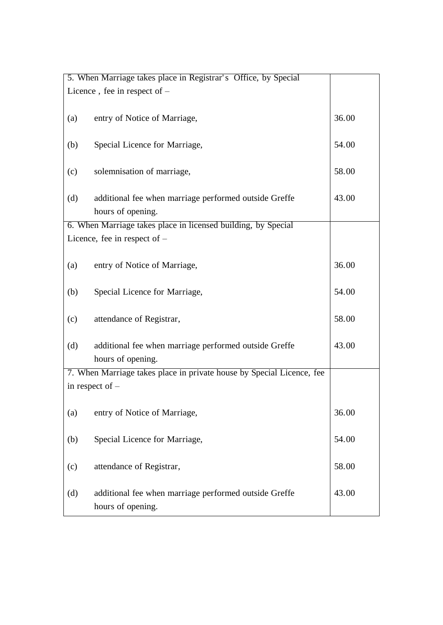|     | 5. When Marriage takes place in Registrar's Office, by Special        |       |  |  |  |
|-----|-----------------------------------------------------------------------|-------|--|--|--|
|     | Licence, fee in respect of $-$                                        |       |  |  |  |
|     |                                                                       |       |  |  |  |
| (a) | entry of Notice of Marriage,                                          | 36.00 |  |  |  |
|     |                                                                       |       |  |  |  |
| (b) | Special Licence for Marriage,                                         | 54.00 |  |  |  |
|     |                                                                       |       |  |  |  |
| (c) | solemnisation of marriage,                                            | 58.00 |  |  |  |
|     |                                                                       |       |  |  |  |
| (d) | additional fee when marriage performed outside Greffe                 | 43.00 |  |  |  |
|     | hours of opening.                                                     |       |  |  |  |
|     | 6. When Marriage takes place in licensed building, by Special         |       |  |  |  |
|     | Licence, fee in respect of $-$                                        |       |  |  |  |
|     |                                                                       |       |  |  |  |
| (a) | entry of Notice of Marriage,                                          | 36.00 |  |  |  |
|     |                                                                       |       |  |  |  |
| (b) | Special Licence for Marriage,                                         | 54.00 |  |  |  |
|     |                                                                       |       |  |  |  |
| (c) | attendance of Registrar,                                              | 58.00 |  |  |  |
|     |                                                                       |       |  |  |  |
| (d) | additional fee when marriage performed outside Greffe                 | 43.00 |  |  |  |
|     | hours of opening.                                                     |       |  |  |  |
|     | 7. When Marriage takes place in private house by Special Licence, fee |       |  |  |  |
|     | in respect of $-$                                                     |       |  |  |  |
|     |                                                                       |       |  |  |  |
| (a) | entry of Notice of Marriage,                                          | 36.00 |  |  |  |
|     |                                                                       |       |  |  |  |
| (b) | Special Licence for Marriage,                                         | 54.00 |  |  |  |
|     |                                                                       |       |  |  |  |
| (c) | attendance of Registrar,                                              | 58.00 |  |  |  |
|     |                                                                       |       |  |  |  |
| (d) | additional fee when marriage performed outside Greffe                 | 43.00 |  |  |  |
|     | hours of opening.                                                     |       |  |  |  |
|     |                                                                       |       |  |  |  |